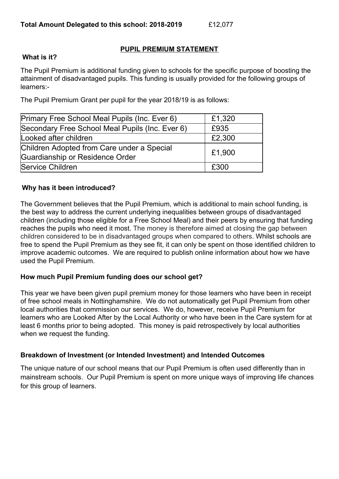## **PUPIL PREMIUM STATEMENT**

### **What is it?**

The Pupil Premium is additional funding given to schools for the specific purpose of boosting the attainment of disadvantaged pupils. This funding is usually provided for the following groups of learners:-

The Pupil Premium Grant per pupil for the year 2018/19 is as follows:

| Primary Free School Meal Pupils (Inc. Ever 6)   | £1,320 |
|-------------------------------------------------|--------|
| Secondary Free School Meal Pupils (Inc. Ever 6) | £935   |
| Looked after children                           | £2,300 |
| Children Adopted from Care under a Special      | £1,900 |
| Guardianship or Residence Order                 |        |
| Service Children                                | £300   |

## **Why has it been introduced?**

The Government believes that the Pupil Premium, which is additional to main school funding, is the best way to address the current underlying inequalities between groups of disadvantaged children (including those eligible for a Free School Meal) and their peers by ensuring that funding reaches the pupils who need it most. The money is therefore aimed at closing the gap between children considered to be in disadvantaged groups when compared to others. Whilst schools are free to spend the Pupil Premium as they see fit, it can only be spent on those identified children to improve academic outcomes. We are required to publish online information about how we have used the Pupil Premium.

### **How much Pupil Premium funding does our school get?**

This year we have been given pupil premium money for those learners who have been in receipt of free school meals in Nottinghamshire. We do not automatically get Pupil Premium from other local authorities that commission our services. We do, however, receive Pupil Premium for learners who are Looked After by the Local Authority or who have been in the Care system for at least 6 months prior to being adopted. This money is paid retrospectively by local authorities when we request the funding.

### **Breakdown of Investment (or Intended Investment) and Intended Outcomes**

The unique nature of our school means that our Pupil Premium is often used differently than in mainstream schools. Our Pupil Premium is spent on more unique ways of improving life chances for this group of learners.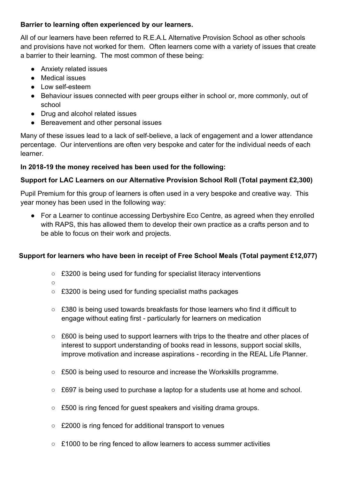## **Barrier to learning often experienced by our learners.**

All of our learners have been referred to R.E.A.L Alternative Provision School as other schools and provisions have not worked for them. Often learners come with a variety of issues that create a barrier to their learning. The most common of these being:

- Anxiety related issues
- Medical issues
- Low self-esteem
- Behaviour issues connected with peer groups either in school or, more commonly, out of school
- Drug and alcohol related issues
- Bereavement and other personal issues

Many of these issues lead to a lack of self-believe, a lack of engagement and a lower attendance percentage. Our interventions are often very bespoke and cater for the individual needs of each learner.

# **In 2018-19 the money received has been used for the following:**

# **Support for LAC Learners on our Alternative Provision School Roll (Total payment £2,300)**

Pupil Premium for this group of learners is often used in a very bespoke and creative way. This year money has been used in the following way:

● For a Learner to continue accessing Derbyshire Eco Centre, as agreed when they enrolled with RAPS, this has allowed them to develop their own practice as a crafts person and to be able to focus on their work and projects.

# **Support for learners who have been in receipt of Free School Meals (Total payment £12,077)**

- £3200 is being used for funding for specialist literacy interventions
- ○
- £3200 is being used for funding specialist maths packages
- $\circ$  £380 is being used towards breakfasts for those learners who find it difficult to engage without eating first - particularly for learners on medication
- £600 is being used to support learners with trips to the theatre and other places of interest to support understanding of books read in lessons, support social skills, improve motivation and increase aspirations - recording in the REAL Life Planner.
- £500 is being used to resource and increase the Workskills programme.
- £697 is being used to purchase a laptop for a students use at home and school.
- £500 is ring fenced for guest speakers and visiting drama groups.
- £2000 is ring fenced for additional transport to venues
- $\circ$  £1000 to be ring fenced to allow learners to access summer activities